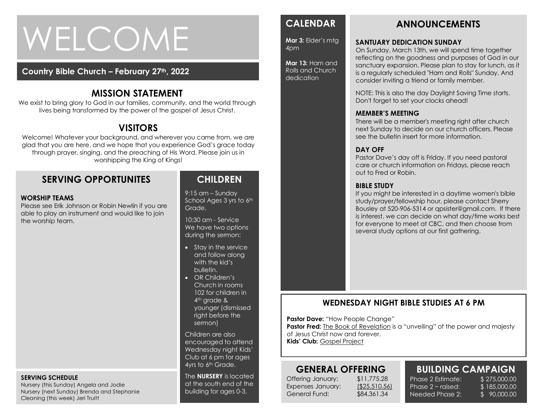# WELCOME

#### **Country Bible Church – February 27th, 2022**

## **MISSION STATEMENT**

We exist to bring glory to God in our families, community, and the world through lives being transformed by the power of the gospel of Jesus Christ.

## **VISITORS**

Welcome! Whatever your background, and wherever you came from, we are glad that you are here, and we hope that you experience God's grace today through prayer, singing, and the preaching of His Word. Please join us in worshipping the King of Kings!

## **SERVING OPPORTUNITES**

#### **WORSHIP TEAMS**

Please see Erik Johnson or Robin Newlin if you are able to play an instrument and would like to join the worship team.

## **CHILDREN**

9:15 am – Sunday School Ages 3 yrs to 6th Grade.

10:30 am - Service We have two options during the sermon:

- Stay in the service and follow along with the kid's bulletin.
- OR Children's Church in rooms 102 for children in 4<sup>th</sup> grade & younger (dismissed right before the sermon)

Children are also encouraged to attend Wednesday night Kids' Club at 6 pm for ages 4yrs to 6th Grade.

The **NURSERY** is located at the south end of the building for ages 0-3.

## **CALENDAR**

**Mar 3:** Elder's mtg 4pm

**Mar 13:** Ham and Rolls and Church dedication

## **ANNOUNCEMENTS**

#### **SANTUARY DEDICATION SUNDAY**

On Sunday, March 13th, we will spend time together reflecting on the goodness and purposes of God in our sanctuary expansion. Please plan to stay for lunch, as it is a regularly scheduled "Ham and Rolls" Sunday. And consider inviting a friend or family member.

NOTE: This is also the day Daylight Saving Time starts. Don't forget to set your clocks ahead!

#### **MEMBER'S MEETING**

There will be a member's meeting right after church next Sunday to decide on our church officers. Please see the bulletin insert for more information.

#### **DAY OFF**

Pastor Dave's day off is Friday. If you need pastoral care or church information on Fridays, please reach out to Fred or Robin.

#### **BIBLE STUDY**

If you might be interested in a daytime women's bible study/prayer/fellowship hour, please contact Sherry Bousley at 520-906-5314 or qpsister@gmail.com. If there is interest, we can decide on what day/time works best for everyone to meet at CBC, and then choose from several study options at our first gathering.

#### **WEDNESDAY NIGHT BIBLE STUDIES AT 6 PM**

**Pastor Dave: "How People Change"** 

**Pastor Fred:** The Book of Revelation is a "unveiling" of the power and majesty of Jesus Christ now and forever.

**Kids' Club:** Gospel Project

## **GENERAL OFFERING**

Offering January: \$11,775.28 Expenses January: (\$25,510.56) General Fund: \$84,361.34

Phase  $2 \sim$  raised: Needed Phase 2:

#### **BUILDING CAMPAIGN** Phase 2 Estimate: \$ 275,000.00

\$ 185,000.00 \$ 90,000.00

#### **SERVING SCHEDULE**

Nursery (this Sunday) Angela and Jodie Nursery (next Sunday) Brenda and Stephanie Cleaning (this week) Jeri Truitt